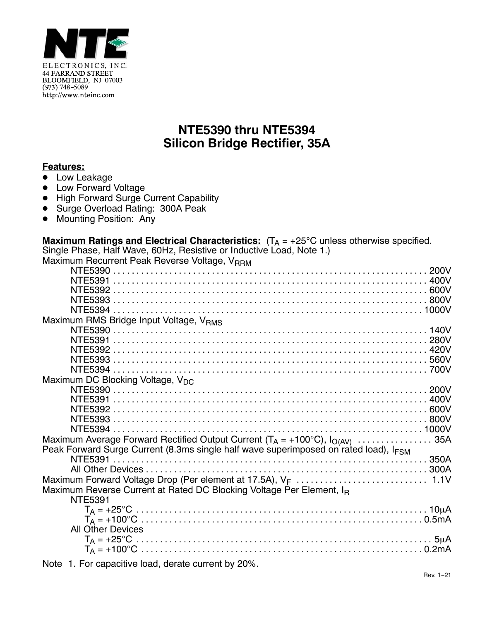

## **NTE5390 thru NTE5394 Silicon Bridge Rectifier, 35A**

## **Features:**

- <u>■ Low Leakage</u>
- Low Forward Voltage
- High Forward Surge Current Capability
- Surge Overload Rating: 300A Peak
- $\bullet$ Mounting Position: Any

| <b>Maximum Ratings and Electrical Characteristics:</b> $(T_A = +25^{\circ}C$ unless otherwise specified. |  |
|----------------------------------------------------------------------------------------------------------|--|
| Single Phase, Half Wave, 60Hz, Resistive or Inductive Load, Note 1.)                                     |  |
| Maximum Recurrent Peak Reverse Voltage, V <sub>RRM</sub>                                                 |  |
|                                                                                                          |  |
|                                                                                                          |  |
|                                                                                                          |  |
|                                                                                                          |  |
|                                                                                                          |  |
| Maximum RMS Bridge Input Voltage, VRMS                                                                   |  |
|                                                                                                          |  |
|                                                                                                          |  |
|                                                                                                          |  |
|                                                                                                          |  |
|                                                                                                          |  |
| Maximum DC Blocking Voltage, V <sub>DC</sub>                                                             |  |
|                                                                                                          |  |
|                                                                                                          |  |
|                                                                                                          |  |
|                                                                                                          |  |
|                                                                                                          |  |
| Maximum Average Forward Rectified Output Current ( $T_A = +100^{\circ}$ C), $I_{O(AV)}$ 35A              |  |
| Peak Forward Surge Current (8.3ms single half wave superimposed on rated load), I <sub>FSM</sub>         |  |
|                                                                                                          |  |
|                                                                                                          |  |
|                                                                                                          |  |
| Maximum Reverse Current at Rated DC Blocking Voltage Per Element, I <sub>R</sub>                         |  |
| <b>NTE5391</b>                                                                                           |  |
|                                                                                                          |  |
|                                                                                                          |  |
| <b>All Other Devices</b>                                                                                 |  |
|                                                                                                          |  |
|                                                                                                          |  |
|                                                                                                          |  |

Note 1. For capacitive load, derate current by 20%.